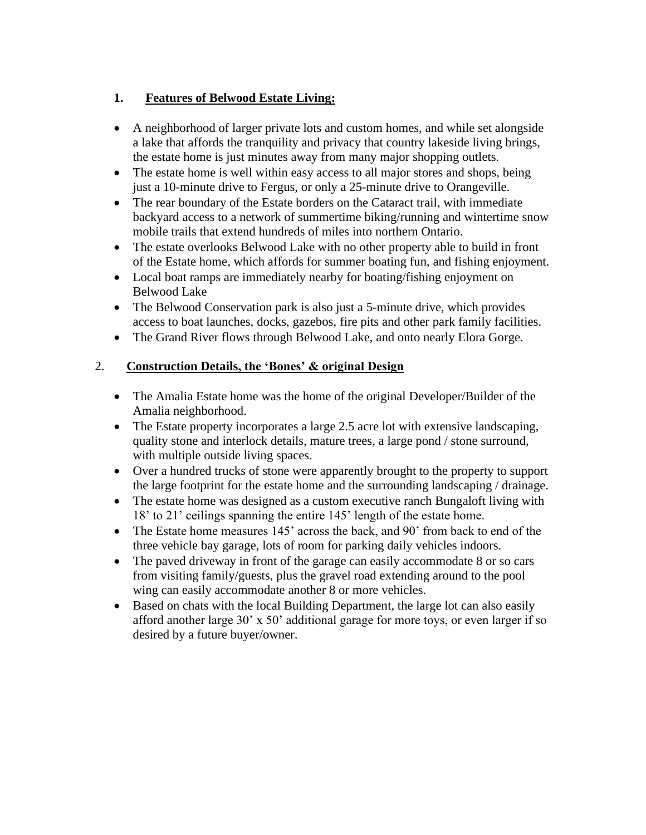# **1. Features of Belwood Estate Living:**

- A neighborhood of larger private lots and custom homes, and while set alongside a lake that affords the tranquility and privacy that country lakeside living brings, the estate home is just minutes away from many major shopping outlets.
- The estate home is well within easy access to all major stores and shops, being just a 10-minute drive to Fergus, or only a 25-minute drive to Orangeville.
- The rear boundary of the Estate borders on the Cataract trail, with immediate backyard access to a network of summertime biking/running and wintertime snow mobile trails that extend hundreds of miles into northern Ontario.
- The estate overlooks Belwood Lake with no other property able to build in front of the Estate home, which affords for summer boating fun, and fishing enjoyment.
- Local boat ramps are immediately nearby for boating/fishing enjoyment on Belwood Lake
- The Belwood Conservation park is also just a 5-minute drive, which provides access to boat launches, docks, gazebos, fire pits and other park family facilities.
- The Grand River flows through Belwood Lake, and onto nearly Elora Gorge.

## 2. **Construction Details, the 'Bones' & original Design**

- The Amalia Estate home was the home of the original Developer/Builder of the Amalia neighborhood.
- The Estate property incorporates a large 2.5 acre lot with extensive landscaping, quality stone and interlock details, mature trees, a large pond / stone surround, with multiple outside living spaces.
- Over a hundred trucks of stone were apparently brought to the property to support the large footprint for the estate home and the surrounding landscaping / drainage.
- The estate home was designed as a custom executive ranch Bungaloft living with 18' to 21' ceilings spanning the entire 145' length of the estate home.
- The Estate home measures 145' across the back, and 90' from back to end of the three vehicle bay garage, lots of room for parking daily vehicles indoors.
- The paved driveway in front of the garage can easily accommodate 8 or so cars from visiting family/guests, plus the gravel road extending around to the pool wing can easily accommodate another 8 or more vehicles.
- Based on chats with the local Building Department, the large lot can also easily afford another large 30' x 50' additional garage for more toys, or even larger if so desired by a future buyer/owner.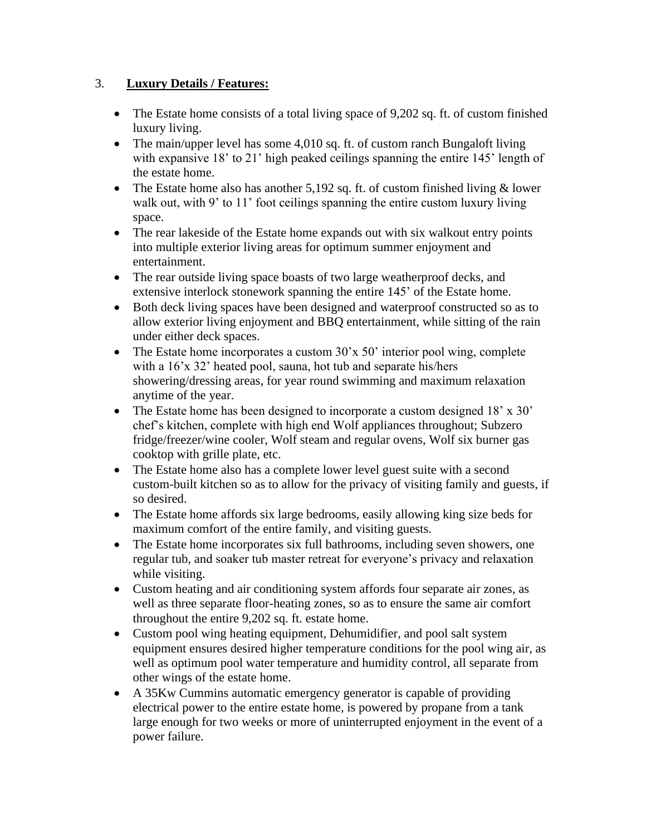## 3. **Luxury Details / Features:**

- The Estate home consists of a total living space of 9,202 sq. ft. of custom finished luxury living.
- The main/upper level has some 4,010 sq. ft. of custom ranch Bungaloft living with expansive 18' to 21' high peaked ceilings spanning the entire 145' length of the estate home.
- The Estate home also has another  $5,192$  sq. ft. of custom finished living  $&$  lower walk out, with 9' to 11' foot ceilings spanning the entire custom luxury living space.
- The rear lakeside of the Estate home expands out with six walkout entry points into multiple exterior living areas for optimum summer enjoyment and entertainment.
- The rear outside living space boasts of two large weatherproof decks, and extensive interlock stonework spanning the entire 145' of the Estate home.
- Both deck living spaces have been designed and waterproof constructed so as to allow exterior living enjoyment and BBQ entertainment, while sitting of the rain under either deck spaces.
- The Estate home incorporates a custom 30'x 50' interior pool wing, complete with a 16'x 32' heated pool, sauna, hot tub and separate his/hers showering/dressing areas, for year round swimming and maximum relaxation anytime of the year.
- The Estate home has been designed to incorporate a custom designed 18' x 30' chef's kitchen, complete with high end Wolf appliances throughout; Subzero fridge/freezer/wine cooler, Wolf steam and regular ovens, Wolf six burner gas cooktop with grille plate, etc.
- The Estate home also has a complete lower level guest suite with a second custom-built kitchen so as to allow for the privacy of visiting family and guests, if so desired.
- The Estate home affords six large bedrooms, easily allowing king size beds for maximum comfort of the entire family, and visiting guests.
- The Estate home incorporates six full bathrooms, including seven showers, one regular tub, and soaker tub master retreat for everyone's privacy and relaxation while visiting.
- Custom heating and air conditioning system affords four separate air zones, as well as three separate floor-heating zones, so as to ensure the same air comfort throughout the entire 9,202 sq. ft. estate home.
- Custom pool wing heating equipment, Dehumidifier, and pool salt system equipment ensures desired higher temperature conditions for the pool wing air, as well as optimum pool water temperature and humidity control, all separate from other wings of the estate home.
- A 35Kw Cummins automatic emergency generator is capable of providing electrical power to the entire estate home, is powered by propane from a tank large enough for two weeks or more of uninterrupted enjoyment in the event of a power failure.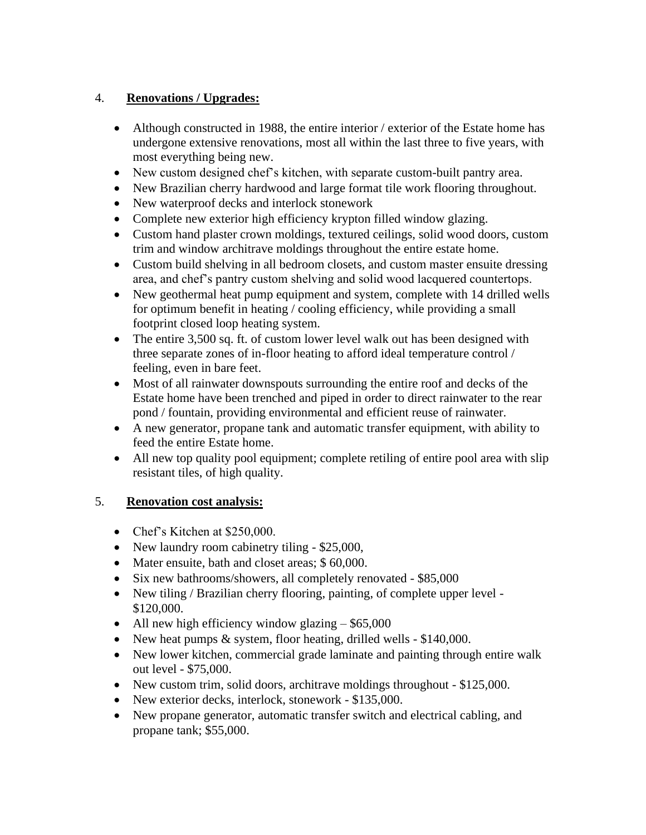# 4. **Renovations / Upgrades:**

- Although constructed in 1988, the entire interior / exterior of the Estate home has undergone extensive renovations, most all within the last three to five years, with most everything being new.
- New custom designed chef's kitchen, with separate custom-built pantry area.
- New Brazilian cherry hardwood and large format tile work flooring throughout.
- New waterproof decks and interlock stonework
- Complete new exterior high efficiency krypton filled window glazing.
- Custom hand plaster crown moldings, textured ceilings, solid wood doors, custom trim and window architrave moldings throughout the entire estate home.
- Custom build shelving in all bedroom closets, and custom master ensuite dressing area, and chef's pantry custom shelving and solid wood lacquered countertops.
- New geothermal heat pump equipment and system, complete with 14 drilled wells for optimum benefit in heating / cooling efficiency, while providing a small footprint closed loop heating system.
- The entire 3,500 sq. ft. of custom lower level walk out has been designed with three separate zones of in-floor heating to afford ideal temperature control / feeling, even in bare feet.
- Most of all rainwater downspouts surrounding the entire roof and decks of the Estate home have been trenched and piped in order to direct rainwater to the rear pond / fountain, providing environmental and efficient reuse of rainwater.
- A new generator, propane tank and automatic transfer equipment, with ability to feed the entire Estate home.
- All new top quality pool equipment; complete retiling of entire pool area with slip resistant tiles, of high quality.

#### 5. **Renovation cost analysis:**

- Chef's Kitchen at \$250,000.
- New laundry room cabinetry tiling \$25,000,
- Mater ensuite, bath and closet areas; \$60,000.
- Six new bathrooms/showers, all completely renovated \$85,000
- New tiling / Brazilian cherry flooring, painting, of complete upper level -\$120,000.
- All new high efficiency window glazing \$65,000
- New heat pumps & system, floor heating, drilled wells \$140,000.
- New lower kitchen, commercial grade laminate and painting through entire walk out level - \$75,000.
- New custom trim, solid doors, architrave moldings throughout \$125,000.
- New exterior decks, interlock, stonework \$135,000.
- New propane generator, automatic transfer switch and electrical cabling, and propane tank; \$55,000.